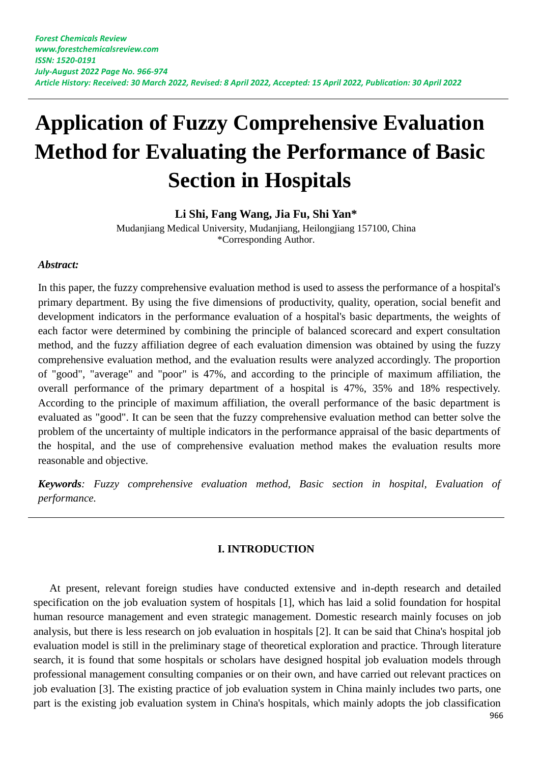# **Application of Fuzzy Comprehensive Evaluation Method for Evaluating the Performance of Basic Section in Hospitals**

**Li Shi, Fang Wang, Jia Fu, Shi Yan\***

Mudanjiang Medical University, Mudanjiang, Heilongjiang 157100, China \*Corresponding Author.

## *Abstract:*

In this paper, the fuzzy comprehensive evaluation method is used to assess the performance of a hospital's primary department. By using the five dimensions of productivity, quality, operation, social benefit and development indicators in the performance evaluation of a hospital's basic departments, the weights of each factor were determined by combining the principle of balanced scorecard and expert consultation method, and the fuzzy affiliation degree of each evaluation dimension was obtained by using the fuzzy comprehensive evaluation method, and the evaluation results were analyzed accordingly. The proportion of "good", "average" and "poor" is 47%, and according to the principle of maximum affiliation, the overall performance of the primary department of a hospital is 47%, 35% and 18% respectively. According to the principle of maximum affiliation, the overall performance of the basic department is evaluated as "good". It can be seen that the fuzzy comprehensive evaluation method can better solve the problem of the uncertainty of multiple indicators in the performance appraisal of the basic departments of the hospital, and the use of comprehensive evaluation method makes the evaluation results more reasonable and objective.

*Keywords: Fuzzy comprehensive evaluation method, Basic section in hospital, Evaluation of performance.*

#### **I. INTRODUCTION**

At present, relevant foreign studies have conducted extensive and in-depth research and detailed specification on the job evaluation system of hospitals [1], which has laid a solid foundation for hospital human resource management and even strategic management. Domestic research mainly focuses on job analysis, but there is less research on job evaluation in hospitals [2]. It can be said that China's hospital job evaluation model is still in the preliminary stage of theoretical exploration and practice. Through literature search, it is found that some hospitals or scholars have designed hospital job evaluation models through professional management consulting companies or on their own, and have carried out relevant practices on job evaluation [3]. The existing practice of job evaluation system in China mainly includes two parts, one part is the existing job evaluation system in China's hospitals, which mainly adopts the job classification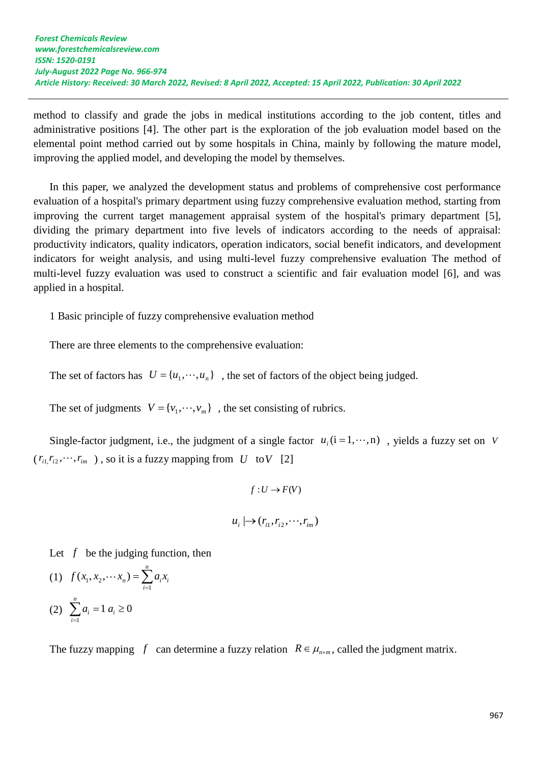method to classify and grade the jobs in medical institutions according to the job content, titles and administrative positions [4]. The other part is the exploration of the job evaluation model based on the elemental point method carried out by some hospitals in China, mainly by following the mature model, improving the applied model, and developing the model by themselves.

In this paper, we analyzed the development status and problems of comprehensive cost performance evaluation of a hospital's primary department using fuzzy comprehensive evaluation method, starting from improving the current target management appraisal system of the hospital's primary department [5], dividing the primary department into five levels of indicators according to the needs of appraisal: productivity indicators, quality indicators, operation indicators, social benefit indicators, and development indicators for weight analysis, and using multi-level fuzzy comprehensive evaluation The method of multi-level fuzzy evaluation was used to construct a scientific and fair evaluation model [6], and was applied in a hospital.

1 Basic principle of fuzzy comprehensive evaluation method

There are three elements to the comprehensive evaluation:

The set of factors has  $U = \{u_1, \dots, u_n\}$ , the set of factors of the object being judged.

The set of judgments  $V = \{v_1, \dots, v_m\}$ , the set consisting of rubrics.

Single-factor judgment, i.e., the judgment of a single factor  $u_i$  ( $i = 1, \dots, n$ ), yields a fuzzy set on V  $(r_{i1}, r_{i2}, \dots, r_{im})$ , so it is a fuzzy mapping from U to V [2]

$$
f: U \to F(V)
$$
  

$$
u_i \mapsto (r_{i1}, r_{i2}, \cdots, r_{im})
$$

Let  $f$  be the judging function, then

(1) 
$$
f(x_1, x_2, \cdots x_n) = \sum_{i=1}^n a_i x_i
$$
  
(2)  $\sum_{i=1}^n a_i = 1 \ a_i \ge 0$ 

The fuzzy mapping f can determine a fuzzy relation  $R \in \mu_{n \times m}$ , called the judgment matrix.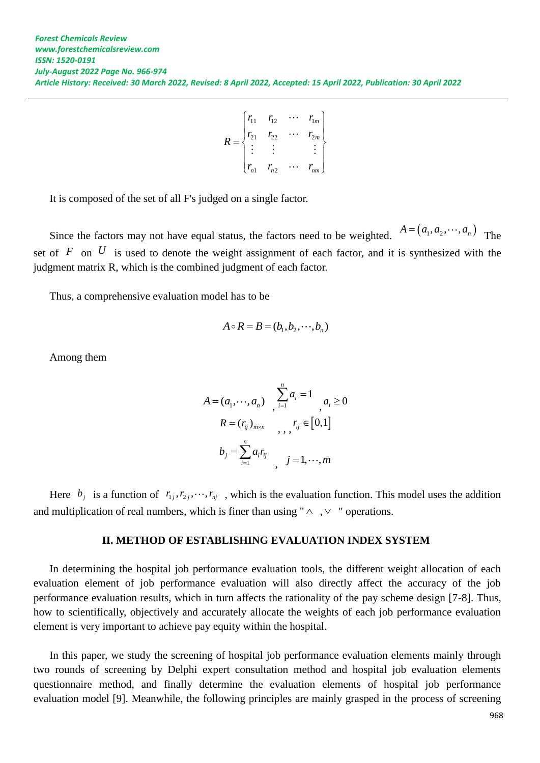$$
R = \begin{bmatrix} r_{11} & r_{12} & \cdots & r_{1m} \\ r_{21} & r_{22} & \cdots & r_{2m} \\ \vdots & \vdots & & \vdots \\ r_{n1} & r_{n2} & \cdots & r_{nm} \end{bmatrix}
$$

It is composed of the set of all F's judged on a single factor.

Since the factors may not have equal status, the factors need to be weighted.  $A = (a_1, a_2, \dots, a_n)$  The set of  $F$  on  $U$  is used to denote the weight assignment of each factor, and it is synthesized with the judgment matrix R, which is the combined judgment of each factor.

Thus, a comprehensive evaluation model has to be

$$
A \circ R = B = (b_1, b_2, \cdots, b_n)
$$

Among them

$$
A = (a_1, \dots, a_n) \sum_{i=1}^n a_i = 1 \quad a_i \ge 0
$$
  

$$
R = (r_{ij})_{m \times n} \qquad r_{ij} \in [0, 1]
$$
  

$$
b_j = \sum_{i=1}^n a_i r_{ij} \qquad j = 1, \dots, m
$$

Here  $b_j$  is a function of  $r_{1j}, r_{2j}, \dots, r_{nj}$ , which is the evaluation function. This model uses the addition and multiplication of real numbers, which is finer than using " $\land \sim \lor$ " operations.

#### **II. METHOD OF ESTABLISHING EVALUATION INDEX SYSTEM**

In determining the hospital job performance evaluation tools, the different weight allocation of each evaluation element of job performance evaluation will also directly affect the accuracy of the job performance evaluation results, which in turn affects the rationality of the pay scheme design [7-8]. Thus, how to scientifically, objectively and accurately allocate the weights of each job performance evaluation element is very important to achieve pay equity within the hospital.

In this paper, we study the screening of hospital job performance evaluation elements mainly through two rounds of screening by Delphi expert consultation method and hospital job evaluation elements questionnaire method, and finally determine the evaluation elements of hospital job performance evaluation model [9]. Meanwhile, the following principles are mainly grasped in the process of screening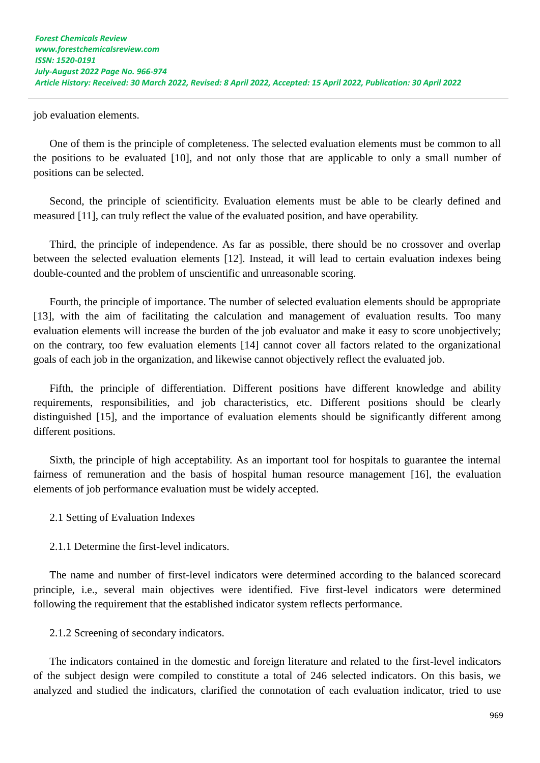job evaluation elements.

One of them is the principle of completeness. The selected evaluation elements must be common to all the positions to be evaluated [10], and not only those that are applicable to only a small number of positions can be selected.

Second, the principle of scientificity. Evaluation elements must be able to be clearly defined and measured [11], can truly reflect the value of the evaluated position, and have operability.

Third, the principle of independence. As far as possible, there should be no crossover and overlap between the selected evaluation elements [12]. Instead, it will lead to certain evaluation indexes being double-counted and the problem of unscientific and unreasonable scoring.

Fourth, the principle of importance. The number of selected evaluation elements should be appropriate [13], with the aim of facilitating the calculation and management of evaluation results. Too many evaluation elements will increase the burden of the job evaluator and make it easy to score unobjectively; on the contrary, too few evaluation elements [14] cannot cover all factors related to the organizational goals of each job in the organization, and likewise cannot objectively reflect the evaluated job.

Fifth, the principle of differentiation. Different positions have different knowledge and ability requirements, responsibilities, and job characteristics, etc. Different positions should be clearly distinguished [15], and the importance of evaluation elements should be significantly different among different positions.

Sixth, the principle of high acceptability. As an important tool for hospitals to guarantee the internal fairness of remuneration and the basis of hospital human resource management [16], the evaluation elements of job performance evaluation must be widely accepted.

2.1 Setting of Evaluation Indexes

2.1.1 Determine the first-level indicators.

The name and number of first-level indicators were determined according to the balanced scorecard principle, i.e., several main objectives were identified. Five first-level indicators were determined following the requirement that the established indicator system reflects performance.

2.1.2 Screening of secondary indicators.

The indicators contained in the domestic and foreign literature and related to the first-level indicators of the subject design were compiled to constitute a total of 246 selected indicators. On this basis, we analyzed and studied the indicators, clarified the connotation of each evaluation indicator, tried to use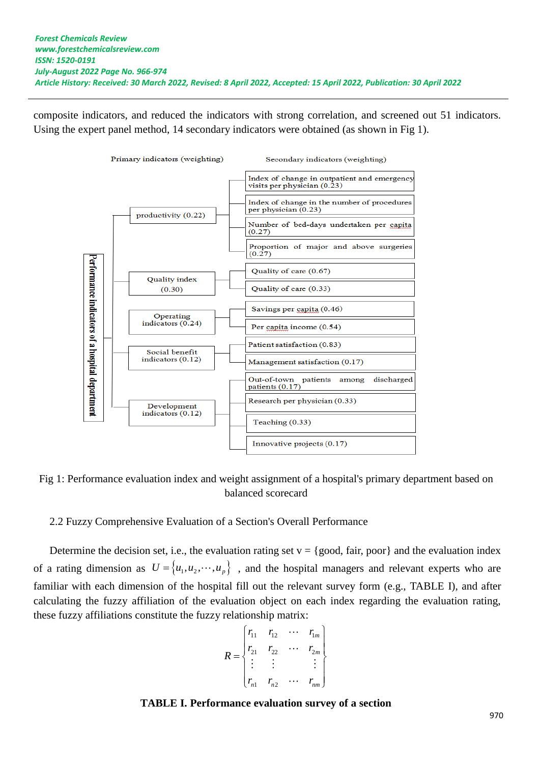composite indicators, and reduced the indicators with strong correlation, and screened out 51 indicators. Using the expert panel method, 14 secondary indicators were obtained (as shown in Fig 1).



Fig 1: Performance evaluation index and weight assignment of a hospital's primary department based on balanced scorecard

2.2 Fuzzy Comprehensive Evaluation of a Section's Overall Performance

Determine the decision set, i.e., the evaluation rating set  $v = \{good, fair, poor\}$  and the evaluation index of a rating dimension as  $U = \{u_1, u_2, \dots, u_p\}$ , and the hospital managers and relevant experts who are familiar with each dimension of the hospital fill out the relevant survey form (e.g., TABLE I), and after calculating the fuzzy affiliation of the evaluation object on each index regarding the evaluation rating, these fuzzy affiliations constitute the fuzzy relationship matrix:

$$
R = \begin{bmatrix} r_{11} & r_{12} & \cdots & r_{1m} \\ r_{21} & r_{22} & \cdots & r_{2m} \\ \vdots & \vdots & & \vdots \\ r_{n1} & r_{n2} & \cdots & r_{nm} \end{bmatrix}
$$

## **TABLE I. Performance evaluation survey of a section**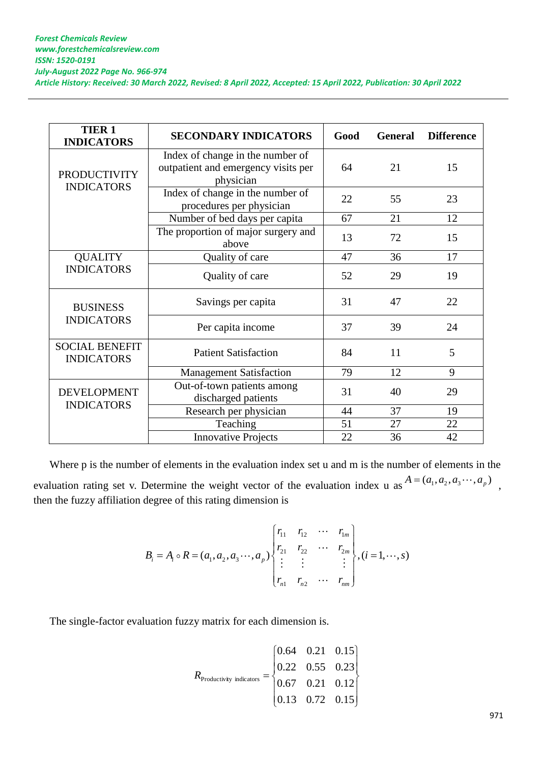| <b>TIER 1</b><br><b>INDICATORS</b>         | <b>SECONDARY INDICATORS</b>                                                          | Good | <b>General</b> | <b>Difference</b> |
|--------------------------------------------|--------------------------------------------------------------------------------------|------|----------------|-------------------|
| <b>PRODUCTIVITY</b><br><b>INDICATORS</b>   | Index of change in the number of<br>outpatient and emergency visits per<br>physician | 64   | 21             | 15                |
|                                            | Index of change in the number of<br>procedures per physician                         | 22   | 55             | 23                |
|                                            | Number of bed days per capita                                                        | 67   | 21             | 12                |
|                                            | The proportion of major surgery and<br>above                                         | 13   | 72             | 15                |
| <b>QUALITY</b><br><b>INDICATORS</b>        | Quality of care                                                                      | 47   | 36             | 17                |
|                                            | Quality of care                                                                      | 52   | 29             | 19                |
| <b>BUSINESS</b><br><b>INDICATORS</b>       | Savings per capita                                                                   | 31   | 47             | 22                |
|                                            | Per capita income                                                                    | 37   | 39             | 24                |
| <b>SOCIAL BENEFIT</b><br><b>INDICATORS</b> | <b>Patient Satisfaction</b>                                                          | 84   | 11             | 5                 |
|                                            | <b>Management Satisfaction</b>                                                       | 79   | 12             | 9                 |
| <b>DEVELOPMENT</b><br><b>INDICATORS</b>    | Out-of-town patients among<br>discharged patients                                    | 31   | 40             | 29                |
|                                            | Research per physician                                                               | 44   | 37             | 19                |
|                                            | Teaching                                                                             | 51   | 27             | 22                |
|                                            | <b>Innovative Projects</b>                                                           | 22   | 36             | 42                |

Where p is the number of elements in the evaluation index set u and m is the number of elements in the evaluation rating set v. Determine the weight vector of the evaluation index u as  $A = (a_1, a_2, a_3 \cdots, a_p)$ , then the fuzzy affiliation degree of this rating dimension is

degree of this rating dimension is  
\n
$$
B_{i} = A_{i} \circ R = (a_{1}, a_{2}, a_{3} \cdots, a_{p}) \begin{cases} r_{11} & r_{12} & \cdots & r_{1m} \\ r_{21} & r_{22} & \cdots & r_{2m} \\ \vdots & \vdots & & \vdots \\ r_{n1} & r_{n2} & \cdots & r_{nm} \end{cases}, (i = 1, \cdots, s)
$$

The single-factor evaluation fuzzy matrix for each dimension is.

$$
R_{\text{Productivity indicators}} = \begin{bmatrix} 0.64 & 0.21 & 0.15 \\ 0.22 & 0.55 & 0.23 \\ 0.67 & 0.21 & 0.12 \\ 0.13 & 0.72 & 0.15 \end{bmatrix}
$$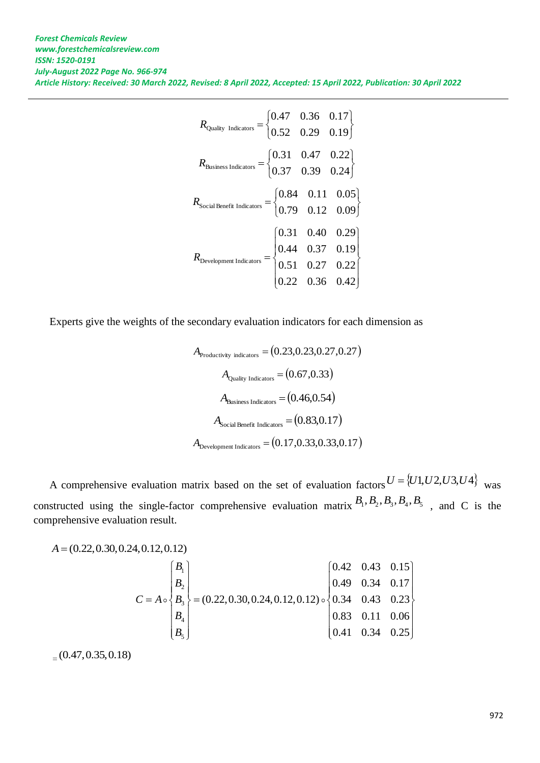| $R_{\text{Quality Indicators}} = \begin{cases} 0.47 & 0.36 & 0.17 \\ 0.52 & 0.29 & 0.19 \end{cases}$                                                |  |  |
|-----------------------------------------------------------------------------------------------------------------------------------------------------|--|--|
| $R_{\text{Business Indicators}} = \begin{cases} 0.31 & 0.47 & 0.22 \\ 0.37 & 0.39 & 0.24 \end{cases}$                                               |  |  |
| $R_{\text{Social Benefits}} = \begin{cases} 0.84 & 0.11 & 0.05 \\ 0.79 & 0.12 & 0.09 \end{cases}$                                                   |  |  |
| $R_{\text{Development Index}} = \begin{bmatrix} 0.31 & 0.40 & 0.29 \\ 0.44 & 0.37 & 0.19 \\ 0.51 & 0.27 & 0.22 \\ 0.22 & 0.36 & 0.42 \end{bmatrix}$ |  |  |

Experts give the weights of the secondary evaluation indicators for each dimension as

$$
A_{\text{Productivity indicators}} = (0.23, 0.23, 0.27, 0.27)
$$
\n
$$
A_{\text{Quality Indicators}} = (0.67, 0.33)
$$
\n
$$
A_{\text{Business Indicators}} = (0.46, 0.54)
$$
\n
$$
A_{\text{Social Benefit Indicators}} = (0.83, 0.17)
$$
\n
$$
A_{\text{Development Indicators}} = (0.17, 0.33, 0.33, 0.17)
$$

A comprehensive evaluation matrix based on the set of evaluation factors  $U = \{U1, U2, U3, U4\}$  was constructed using the single-factor comprehensive evaluation matrix  $B_1, B_2, B_3, B_4, B_5$ , and C is the comprehensive evaluation result.

$$
A = (0.22, 0.30, 0.24, 0.12, 0.12)
$$
\n
$$
C = A \circ \begin{pmatrix} B_1 \\ B_2 \\ B_3 \\ B_4 \\ B_5 \end{pmatrix} = (0.22, 0.30, 0.24, 0.12, 0.12) \circ \begin{pmatrix} 0.42 & 0.43 & 0.15 \\ 0.49 & 0.34 & 0.17 \\ 0.34 & 0.43 & 0.23 \\ 0.83 & 0.11 & 0.06 \\ 0.41 & 0.34 & 0.25 \end{pmatrix}
$$

 $_{0.47,0.35,0.18}$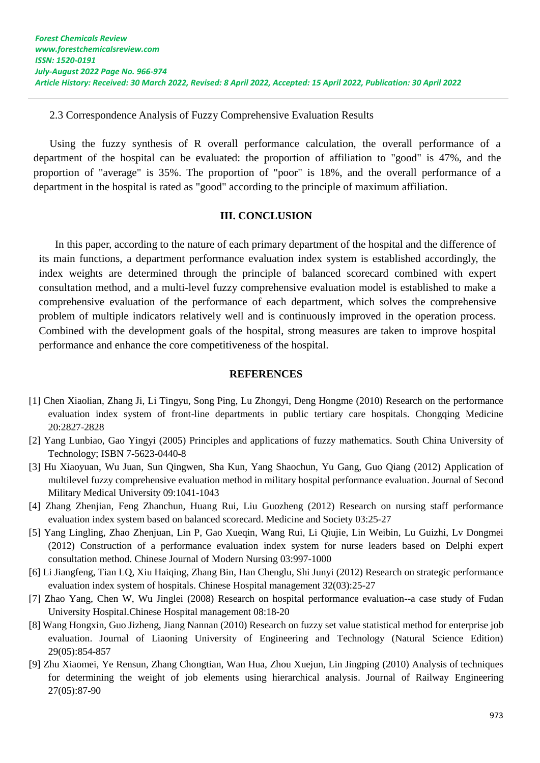2.3 Correspondence Analysis of Fuzzy Comprehensive Evaluation Results

Using the fuzzy synthesis of R overall performance calculation, the overall performance of a department of the hospital can be evaluated: the proportion of affiliation to "good" is 47%, and the proportion of "average" is 35%. The proportion of "poor" is 18%, and the overall performance of a department in the hospital is rated as "good" according to the principle of maximum affiliation.

## **III. CONCLUSION**

In this paper, according to the nature of each primary department of the hospital and the difference of its main functions, a department performance evaluation index system is established accordingly, the index weights are determined through the principle of balanced scorecard combined with expert consultation method, and a multi-level fuzzy comprehensive evaluation model is established to make a comprehensive evaluation of the performance of each department, which solves the comprehensive problem of multiple indicators relatively well and is continuously improved in the operation process. Combined with the development goals of the hospital, strong measures are taken to improve hospital performance and enhance the core competitiveness of the hospital.

### **REFERENCES**

- [1] Chen Xiaolian, Zhang Ji, Li Tingyu, Song Ping, Lu Zhongyi, Deng Hongme (2010) Research on the performance evaluation index system of front-line departments in public tertiary care hospitals. Chongqing Medicine 20:2827-2828
- [2] Yang Lunbiao, Gao Yingyi (2005) Principles and applications of fuzzy mathematics. South China University of Technology; ISBN 7-5623-0440-8
- [3] Hu Xiaoyuan, Wu Juan, Sun Qingwen, Sha Kun, Yang Shaochun, Yu Gang, Guo Qiang (2012) Application of multilevel fuzzy comprehensive evaluation method in military hospital performance evaluation. Journal of Second Military Medical University 09:1041-1043
- [4] Zhang Zhenjian, Feng Zhanchun, Huang Rui, Liu Guozheng (2012) Research on nursing staff performance evaluation index system based on balanced scorecard. Medicine and Society 03:25-27
- [5] Yang Lingling, Zhao Zhenjuan, Lin P, Gao Xueqin, Wang Rui, Li Qiujie, Lin Weibin, Lu Guizhi, Lv Dongmei (2012) Construction of a performance evaluation index system for nurse leaders based on Delphi expert consultation method. Chinese Journal of Modern Nursing 03:997-1000
- [6] Li Jiangfeng, Tian LQ, Xiu Haiqing, Zhang Bin, Han Chenglu, Shi Junyi (2012) Research on strategic performance evaluation index system of hospitals. Chinese Hospital management 32(03):25-27
- [7] Zhao Yang, Chen W, Wu Jinglei (2008) Research on hospital performance evaluation--a case study of Fudan University Hospital.Chinese Hospital management 08:18-20
- [8] Wang Hongxin, Guo Jizheng, Jiang Nannan (2010) [Research on fuzzy set value statistical method for enterprise job](https://kns.cnki.net/kcms/detail/detail.aspx?filename=FXKY201005043&dbcode=CJFQ&dbname=CJFD2010&v=Ecjl4HMXZ7x3D7eDdd3daFRdeeHUrxqvAhhUHYW6NJ5ahyK9jelvJtGKWchrW_n8)  [evaluation.](https://kns.cnki.net/kcms/detail/detail.aspx?filename=FXKY201005043&dbcode=CJFQ&dbname=CJFD2010&v=Ecjl4HMXZ7x3D7eDdd3daFRdeeHUrxqvAhhUHYW6NJ5ahyK9jelvJtGKWchrW_n8) Journal of Liaoning University of Engineering and Technology (Natural Science Edition) 29(05):854-857
- [9] Zhu Xiaomei, Ye Rensun, Zhang Chongtian, Wan Hua, Zhou Xuejun, Lin Jingping (2010) [Analysis of techniques](https://kns.cnki.net/kcms/detail/detail.aspx?filename=TDGC201005020&dbcode=CJFQ&dbname=CJFD2010&v=pSzHb8OGfG5yGOE06uDhY0rGxnygmbe0PtuUEQOC7klLX7NkP9MTgm4wW1l7tOaV)  [for determining the weight of job elements using hierarchical analysis.](https://kns.cnki.net/kcms/detail/detail.aspx?filename=TDGC201005020&dbcode=CJFQ&dbname=CJFD2010&v=pSzHb8OGfG5yGOE06uDhY0rGxnygmbe0PtuUEQOC7klLX7NkP9MTgm4wW1l7tOaV) Journal of Railway Engineering 27(05):87-90